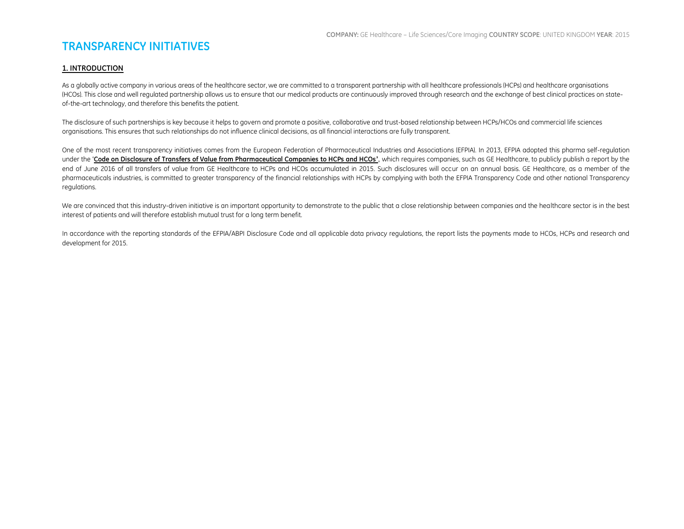## **TRANSPARENCY INITIATIVES**

#### **1. INTRODUCTION**

As a globally active company in various areas of the healthcare sector, we are committed to a transparent partnership with all healthcare professionals (HCPs) and healthcare organisations (HCOs). This close and well regulated partnership allows us to ensure that our medical products are continuously improved through research and the exchange of best clinical practices on stateof-the-art technology, and therefore this benefits the patient.

The disclosure of such partnerships is key because it helps to govern and promote a positive, collaborative and trust-based relationship between HCPs/HCOs and commercial life sciences organisations. This ensures that such relationships do not influence clinical decisions, as all financial interactions are fully transparent.

One of the most recent transparency initiatives comes from the European Federation of Pharmaceutical Industries and Associations (EFPIA). In 2013, EFPIA adopted this pharma self-regulation under the '**[Code on Disclosure of Transfers of Value from Pharmaceutical Companies to HCPs and HCOs](http://transparency.efpia.eu/the-efpia-code-2)'**, which requires companies, such as GE Healthcare, to publicly publish a report by the end of June 2016 of all transfers of value from GE Healthcare to HCPs and HCOs accumulated in 2015. Such disclosures will occur on an annual basis. GE Healthcare, as a member of the pharmaceuticals industries, is committed to greater transparency of the financial relationships with HCPs by complying with both the EFPIA Transparency Code and other national Transparency regulations.

We are convinced that this industry-driven initiative is an important opportunity to demonstrate to the public that a close relationship between companies and the healthcare sector is in the best interest of patients and will therefore establish mutual trust for a long term benefit.

In accordance with the reporting standards of the EFPIA/ABPI Disclosure Code and all applicable data privacy regulations, the report lists the payments made to HCOs, HCPs and research and development for 2015.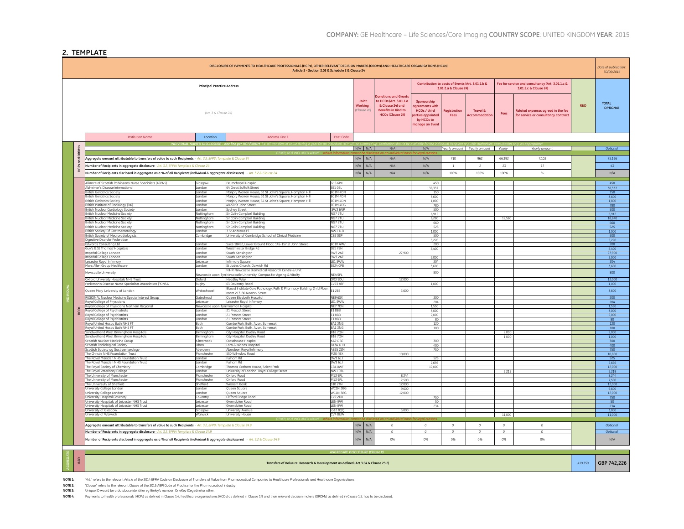#### **2. TEMPLATE**

| DISCLOSURE OF PAYMENTS TO HEALTHCARE PROFESSIONALS (HCPs), OTHER RELEVANT DECISION MAKERS (ORDMS) AND HEALTHCARE ORGANISATIONS (HCOS)<br>Article 2 - Section 2.03 & Schedule 2 & Clause 24 |                                                                                                                                                                                                          |                                   |                                                                                                                    |                                       |                  |                    |                                                                                                                                    |                                                                                                                |                       | Date of publication:<br>30/06/2016  |                            |                                                                           |                |                                 |
|--------------------------------------------------------------------------------------------------------------------------------------------------------------------------------------------|----------------------------------------------------------------------------------------------------------------------------------------------------------------------------------------------------------|-----------------------------------|--------------------------------------------------------------------------------------------------------------------|---------------------------------------|------------------|--------------------|------------------------------------------------------------------------------------------------------------------------------------|----------------------------------------------------------------------------------------------------------------|-----------------------|-------------------------------------|----------------------------|---------------------------------------------------------------------------|----------------|---------------------------------|
|                                                                                                                                                                                            |                                                                                                                                                                                                          | <b>Principal Practice Address</b> |                                                                                                                    |                                       |                  |                    |                                                                                                                                    | Contribution to costs of Events (Art. 3.01.1.b &                                                               | 3.01.2.a & Clause 24) |                                     |                            | Fee for service and consultancy (Art. 3.01.1.c &<br>3.01.2.c & Clause 24) |                |                                 |
|                                                                                                                                                                                            |                                                                                                                                                                                                          | (Art. 3 & Clause 24)              |                                                                                                                    |                                       | Joint<br>Working | (Clause 20)        | <b>Donations and Grants</b><br>to HCOs (Art. 3.01.1.a<br>& Clause 24) and<br><b>Benefits in Kind to</b><br><b>HCOs (Clause 24)</b> | Sponsorship<br>treements with<br><b>HCOs / third</b><br><b>rties appointer</b><br>by HCOs to<br>ianage an Even | Registration<br>Fees  | <b>Travel &amp;</b><br>Accommodatio | Fees                       | Related expenses agreed in the fee<br>for service or consultancy contract | <b>R&amp;D</b> | <b>TOTAL</b><br><b>OPTIONAL</b> |
|                                                                                                                                                                                            | <b>Institution Name</b>                                                                                                                                                                                  | Location                          | Address Line 1                                                                                                     | Post Code                             |                  |                    |                                                                                                                                    |                                                                                                                |                       |                                     |                            |                                                                           |                |                                 |
|                                                                                                                                                                                            |                                                                                                                                                                                                          |                                   |                                                                                                                    |                                       |                  | $N/A$ $N/A$        | N/A                                                                                                                                | N/A                                                                                                            |                       | Yearly amount Yearly amount Yearly  |                            | Yearly amount                                                             |                | Optiono                         |
| ORDMS                                                                                                                                                                                      |                                                                                                                                                                                                          |                                   |                                                                                                                    |                                       |                  |                    |                                                                                                                                    |                                                                                                                |                       |                                     |                            |                                                                           |                |                                 |
|                                                                                                                                                                                            | Aggregate amount attributable to transfers of value to such Recipients - Art. 3.2, EFPIA Template & Clause 24                                                                                            |                                   |                                                                                                                    |                                       | N/A              | N/A                | N/A                                                                                                                                | N/A                                                                                                            | 710                   | 962                                 | 66.392                     | 7.102                                                                     |                | 75166                           |
| HCPS                                                                                                                                                                                       | Number of Recipients in aggregate disclosure - Art. 3.2, EFPIA Template & Clause 24                                                                                                                      |                                   |                                                                                                                    |                                       | N/A              | N/A                | N/A                                                                                                                                | N/A                                                                                                            | $\overline{1}$        | $\overline{\phantom{a}}$            | 23                         | 17                                                                        |                | 43                              |
|                                                                                                                                                                                            | umber of Recipients disclosed in aggregate as a % of all Recipients (individual & aggregate disclosures) - Art. 3.2 & Clause 24                                                                          |                                   |                                                                                                                    |                                       | N/A              | N/A                | N/A                                                                                                                                | N/A                                                                                                            | 100%                  | 100%                                | 100%                       | 96                                                                        |                | N/A                             |
|                                                                                                                                                                                            | liance of Scottish Parkinsons Nurse Specialists (ASPNS)                                                                                                                                                  | Glasgow                           | Drumchanel Hospital                                                                                                | G15 6PX                               |                  |                    |                                                                                                                                    | 450                                                                                                            |                       |                                     |                            |                                                                           |                | 450                             |
|                                                                                                                                                                                            | Izheimer's Disease International                                                                                                                                                                         | London                            | 64 Great Suffolk Street                                                                                            | SE1 OBL                               |                  |                    |                                                                                                                                    | 38,337                                                                                                         |                       |                                     |                            |                                                                           |                | 38,337                          |
|                                                                                                                                                                                            | itish Geriatrics Society                                                                                                                                                                                 | ondon                             | larjory Warren House, 31 St John's Square, Hampton Hill                                                            | EC1M 4DN                              |                  |                    |                                                                                                                                    | 150                                                                                                            |                       |                                     |                            |                                                                           |                | 150                             |
|                                                                                                                                                                                            | ritish Geriatrics Society<br>itish Geriotrics Society                                                                                                                                                    | London                            | Marjory Warren House, 31 St John's Square, Hampton Hill<br>fariory Warren House, 31 St John's Sauare, Hampton Hill | EC1M 4DN                              |                  |                    |                                                                                                                                    | 3.600                                                                                                          |                       |                                     |                            |                                                                           |                | 3.600                           |
|                                                                                                                                                                                            | itish Institute of Radioloav (BIR                                                                                                                                                                        | ondon<br>ondon                    | 18-50 St. John Street                                                                                              | C1M 4DN<br>FC1M 4DG                   |                  |                    |                                                                                                                                    | 1,800<br>780                                                                                                   |                       |                                     |                            |                                                                           |                | 1800<br>780                     |
|                                                                                                                                                                                            | ritish Nuclear Cardiology Society                                                                                                                                                                        | ondon                             | work Street                                                                                                        | SW3 6NP                               |                  |                    |                                                                                                                                    | 500                                                                                                            |                       |                                     |                            |                                                                           |                | 500                             |
|                                                                                                                                                                                            | Iritish Nuclear Medicine Society                                                                                                                                                                         | Nottingham                        | Sir Colin Campbell Building                                                                                        | NG7 2TU                               |                  |                    |                                                                                                                                    | 6,912                                                                                                          |                       |                                     |                            |                                                                           |                | 6,912                           |
|                                                                                                                                                                                            | itish Nuclear Medicine Society                                                                                                                                                                           | vottingham                        | ir Colin Campbell Building                                                                                         | NG7 2TU                               |                  |                    |                                                                                                                                    | 6,280                                                                                                          |                       |                                     | 12,560                     |                                                                           |                | 18,840                          |
|                                                                                                                                                                                            | tish Nuclear Medicine Society<br>Iritish Nuclear Medicine Society                                                                                                                                        | lottingham<br>Nottingham          | ir Colin Campbell Building<br>Sir Colin Campbell Building                                                          | NG7 2TU<br>NG7 2TU                    |                  |                    |                                                                                                                                    | 660<br>525                                                                                                     |                       |                                     |                            |                                                                           |                | 660<br>525                      |
|                                                                                                                                                                                            | itish Society Of Gastroenterology                                                                                                                                                                        | ondon                             | St Andrews PI                                                                                                      | NW1 4LB                               |                  |                    |                                                                                                                                    | 1.000                                                                                                          |                       |                                     |                            |                                                                           |                | 1000                            |
|                                                                                                                                                                                            | itish Society of Neuroradiologists                                                                                                                                                                       | `ambridae                         | <b>Jniversity of Cambridge School of Clinical Medicine</b>                                                         | CB2 OSP                               |                  |                    |                                                                                                                                    | 500                                                                                                            |                       |                                     |                            |                                                                           |                | 500                             |
|                                                                                                                                                                                            | gestive Disorder Federation                                                                                                                                                                              |                                   |                                                                                                                    |                                       |                  |                    |                                                                                                                                    | 5,220                                                                                                          |                       |                                     |                            |                                                                           |                | 5.220                           |
|                                                                                                                                                                                            | wards Consulting Ltd<br>Jy's & St Thomas' Hospitals                                                                                                                                                      | ondon<br>London                   | Juite 18492, Lower Ground Floor, 145-157 St John Street                                                            | FC1V 4PW<br>SE1 7EH                   |                  |                    |                                                                                                                                    | 200                                                                                                            |                       |                                     |                            |                                                                           |                | 200                             |
|                                                                                                                                                                                            | nperial College London                                                                                                                                                                                   | ondon                             | Vestminster Bridge Rd<br>buth Kensington                                                                           | <b>SW7 2AZ</b>                        |                  |                    | 27,900                                                                                                                             | 8,400                                                                                                          |                       |                                     |                            |                                                                           |                | 8,400<br>27,900                 |
|                                                                                                                                                                                            | Imperial College London                                                                                                                                                                                  | ondon.                            | South Kensington                                                                                                   | <b>SW7 2AZ</b>                        |                  |                    |                                                                                                                                    | 3.000                                                                                                          |                       |                                     |                            |                                                                           |                | 3.000                           |
|                                                                                                                                                                                            | eicester Royal Infirmary                                                                                                                                                                                 | eicester                          | ifirmary Sauare                                                                                                    | IF1 5WW                               |                  |                    |                                                                                                                                    | 204                                                                                                            |                       |                                     |                            |                                                                           |                | 204                             |
|                                                                                                                                                                                            | arc Allen Group Healthcare                                                                                                                                                                               | ondon                             | St. Judes Church, Dulwich Rd.                                                                                      | SE24 OPB                              |                  |                    |                                                                                                                                    | 3600                                                                                                           |                       |                                     |                            |                                                                           |                | 3.600                           |
|                                                                                                                                                                                            | Jewcastle University                                                                                                                                                                                     | lewcastle upon Tyr                | <b>IIHR Newcastle Biomedical Research Centre &amp; Unit</b><br>Newcastle University, Campus for Ageing & Vitality  | NE4 SPL                               |                  |                    |                                                                                                                                    | 800                                                                                                            |                       |                                     |                            |                                                                           |                | 800                             |
|                                                                                                                                                                                            | xford University Hospitals NHS Trust                                                                                                                                                                     | Oxford                            | <b>Headley Way</b>                                                                                                 | OX3 9DU                               |                  |                    | 12,000                                                                                                                             |                                                                                                                |                       |                                     |                            |                                                                           |                | 12,000                          |
|                                                                                                                                                                                            | Parkinson's Disease Nurse Specialists Association (PDNSA)                                                                                                                                                | Rugby                             | 63 Daventry Road                                                                                                   | <b>CV23 8TP</b>                       |                  |                    |                                                                                                                                    | 1000                                                                                                           |                       |                                     |                            |                                                                           |                | 1000                            |
|                                                                                                                                                                                            | ueen Mary University of London                                                                                                                                                                           | Whitechapel                       | Blizard Institute Core Pathology, Path & Pharmacy Building, 2nfd Floor<br>oom 217. 80 Newark Street                | E1 2ES                                |                  |                    | 3,600                                                                                                                              |                                                                                                                |                       |                                     |                            |                                                                           |                | 3.600                           |
|                                                                                                                                                                                            | EGIONAL Nuclear Medicine Special Interest Group                                                                                                                                                          | hnedzetní                         | ueen Elizabeth Hospital                                                                                            | NF9 6SX                               |                  |                    |                                                                                                                                    | 200                                                                                                            |                       |                                     |                            |                                                                           |                | 200                             |
|                                                                                                                                                                                            | byal College of Physicians                                                                                                                                                                               | Leicester                         | eicester Royal Infirmary                                                                                           | <b>IF1 SMAN</b>                       |                  |                    |                                                                                                                                    | 204                                                                                                            |                       |                                     |                            |                                                                           |                | 204                             |
|                                                                                                                                                                                            | byal College of Physicians Northern Regional                                                                                                                                                             | Newcastle upon Ty                 | Freeman Hospital                                                                                                   | NE77DN                                |                  |                    |                                                                                                                                    | 1,550                                                                                                          |                       |                                     |                            |                                                                           |                | 1,550                           |
| нcos                                                                                                                                                                                       | byal College of Psychiatrists<br>oyal College of Psychiatrists                                                                                                                                           | ondon<br>London                   | 1 Prescot Street<br>21 Prescot Street                                                                              | E18BB<br>E1888                        |                  |                    |                                                                                                                                    | 3,000<br>2.000                                                                                                 |                       |                                     |                            |                                                                           |                | 3.000<br>2.000                  |
|                                                                                                                                                                                            | byal College of Psychiatrists                                                                                                                                                                            | ondon                             | 21 Prescot Street                                                                                                  | E18BB                                 |                  |                    |                                                                                                                                    | 80                                                                                                             |                       |                                     |                            |                                                                           |                | 80                              |
|                                                                                                                                                                                            | wal United Hosps Bath NHS FT                                                                                                                                                                             | Both.                             | ombe Park Bath Avon Somerset                                                                                       | BA1 3NG                               |                  |                    |                                                                                                                                    | 120                                                                                                            |                       |                                     |                            |                                                                           |                | 120                             |
|                                                                                                                                                                                            | wal United Hosps Bath NHS FT<br>ndwell and West Birmingham Hospitals                                                                                                                                     | <b>Both</b><br>Birminghan         | ombe Park Bath Avon Somerset<br>ity Hospital, Dudley Road                                                          | BA1 3NG<br><b>B187QH</b>              |                  |                    |                                                                                                                                    | 100                                                                                                            |                       |                                     | 2,000                      |                                                                           |                | 100<br>2,000                    |
|                                                                                                                                                                                            | ndwell and West Birmingham Hospitals                                                                                                                                                                     | Birmingham                        | ity Hospital, Dudley Road                                                                                          | <b>B187QH</b>                         |                  |                    |                                                                                                                                    |                                                                                                                |                       |                                     | 1,000                      |                                                                           |                | 1,000                           |
|                                                                                                                                                                                            | ottish Nuclear Medicine Group                                                                                                                                                                            | Gimamock                          | rosshouse Hospital                                                                                                 | KA2 OBE                               |                  |                    |                                                                                                                                    | 300                                                                                                            |                       |                                     |                            |                                                                           |                | 300                             |
|                                                                                                                                                                                            | ottish Radiological Society                                                                                                                                                                              | )ban                              | om & Islands Hospital                                                                                              | PA34 4HH                              |                  |                    |                                                                                                                                    | 400                                                                                                            |                       |                                     |                            |                                                                           |                | 400                             |
|                                                                                                                                                                                            | ottish Society og Gastroenterology<br>e Christie NHS Foundation Trust                                                                                                                                    | Aberdeen<br>danchester            | Aberdeen Roval Infirmary<br>550 Wilmslow Road                                                                      | <b>AB25 2ZN</b><br>M20 4BX            |                  |                    | 10.800                                                                                                                             | 750                                                                                                            |                       |                                     |                            |                                                                           |                | 750<br>10,800                   |
|                                                                                                                                                                                            | e Royal Marsden NHS Foundation Trust                                                                                                                                                                     | ondon                             | ulhom Rd                                                                                                           | SW3 6JJ                               |                  |                    |                                                                                                                                    | 525                                                                                                            |                       |                                     |                            |                                                                           |                | 525                             |
|                                                                                                                                                                                            | he Royal Marsden NHS Foundation Trust                                                                                                                                                                    | ondon                             | ulham Rd                                                                                                           | <b>SW3 6JJ</b>                        |                  |                    |                                                                                                                                    | 2,696                                                                                                          |                       |                                     |                            |                                                                           |                | 2,696                           |
|                                                                                                                                                                                            | he Royal Society of Chemistry                                                                                                                                                                            | cambridge<br>ondon                | homas Graham House, Scient Park                                                                                    | CB4 OWF<br>NW10TU                     |                  |                    |                                                                                                                                    | 12,000                                                                                                         |                       |                                     |                            |                                                                           |                | 12,000                          |
|                                                                                                                                                                                            | he Royal Veterinary College<br>he University of Manchester                                                                                                                                               | Manchester                        | niversity of London, Royal College Street<br><b>Oxford Road</b>                                                    | M13 9PL                               |                  |                    | 8.244                                                                                                                              |                                                                                                                |                       |                                     | 5,219                      |                                                                           |                | 5.219<br>8.244                  |
|                                                                                                                                                                                            | e University of Manchester                                                                                                                                                                               | danchester                        | xford Road                                                                                                         | M13 9PL                               |                  |                    | 7.500                                                                                                                              |                                                                                                                |                       |                                     |                            |                                                                           |                | 7.500                           |
|                                                                                                                                                                                            | e Universuty of Sheffield                                                                                                                                                                                | <b>Sheffield</b>                  | Vestern Bank                                                                                                       | <b>S10 2TN</b>                        |                  |                    | 12,000                                                                                                                             |                                                                                                                |                       |                                     |                            |                                                                           |                | 12000                           |
|                                                                                                                                                                                            | niversity College London<br>niversity College London                                                                                                                                                     | ondon<br>ndon                     | Jueen Square<br>ueen Square                                                                                        | WC1N 3BG<br>WC1N 3BG                  |                  |                    | 9,600<br>12,000                                                                                                                    |                                                                                                                |                       |                                     |                            |                                                                           |                | 9,600<br>12,000                 |
|                                                                                                                                                                                            | iversity Hospital Coventry                                                                                                                                                                               | coventry                          | lifford Bridge Road                                                                                                | <b>CV2 2DX</b>                        |                  |                    |                                                                                                                                    | 750                                                                                                            |                       |                                     |                            |                                                                           |                | 750                             |
|                                                                                                                                                                                            | iversity Hospitals of Leicester NHS Trust                                                                                                                                                                | Leicester                         | wendolen Road                                                                                                      | LES 4PW                               |                  |                    |                                                                                                                                    | 50                                                                                                             |                       |                                     |                            |                                                                           |                | 50                              |
|                                                                                                                                                                                            | iversity Hospitals of Leicester NHS Trust                                                                                                                                                                | Leicester                         | wendolen Road                                                                                                      | LES 4PW<br>G12800                     |                  |                    | 3.000                                                                                                                              | 234                                                                                                            |                       |                                     |                            |                                                                           |                | 234<br>3000                     |
|                                                                                                                                                                                            | hiversity of Glasgow<br>hiversity of Warwick                                                                                                                                                             | ilasgow<br>Warwick                | niversity Avenue<br><b>University House</b>                                                                        | CV4 8LIW                              |                  |                    |                                                                                                                                    |                                                                                                                |                       |                                     | 11,000                     |                                                                           |                | 11,000                          |
|                                                                                                                                                                                            |                                                                                                                                                                                                          |                                   |                                                                                                                    |                                       |                  |                    |                                                                                                                                    |                                                                                                                |                       |                                     |                            |                                                                           |                |                                 |
|                                                                                                                                                                                            | Aggregate amount attributable to transfers of value to such Recipients - Art. 3.2, EFPIA Template & Clause 24.9<br>Number of Recipients in aggregate disclosure - Art. 3.2, EFPIA Template & Clause 24.9 |                                   |                                                                                                                    |                                       | N/A              | N/A<br>$N/A$ $N/A$ | $\circ$<br>$\overline{0}$                                                                                                          | $\circ$<br>$\circ$                                                                                             | $\circ$               | $\circ$<br>$\circ$                  | $\cal O$<br>$\overline{0}$ | $\circ$<br>$\overline{0}$                                                 |                | Optional<br>Optiono             |
|                                                                                                                                                                                            |                                                                                                                                                                                                          |                                   |                                                                                                                    |                                       | N/A              | N/A                | 0%                                                                                                                                 | 0%                                                                                                             | 0%                    | 0%                                  | 0%                         | 0%                                                                        |                | N/A                             |
| umber of Recipients disclosed in aggregate as a % of all Recipients (individual & aggregate disclosures) - Art. 3.2 & Clause 24.9                                                          |                                                                                                                                                                                                          |                                   |                                                                                                                    |                                       |                  |                    |                                                                                                                                    |                                                                                                                |                       |                                     |                            |                                                                           |                |                                 |
|                                                                                                                                                                                            |                                                                                                                                                                                                          |                                   |                                                                                                                    | <b>AGGREGATE DISCLOSURE (Clause X</b> |                  |                    |                                                                                                                                    |                                                                                                                |                       |                                     |                            |                                                                           |                |                                 |
| R&D                                                                                                                                                                                        |                                                                                                                                                                                                          |                                   | Transfers of Value re: Research & Development as defined (Art 3.04 & Clause 23.2)                                  |                                       |                  |                    |                                                                                                                                    |                                                                                                                |                       |                                     |                            |                                                                           | 419,759        | GBP 742,226                     |
|                                                                                                                                                                                            |                                                                                                                                                                                                          |                                   |                                                                                                                    |                                       |                  |                    |                                                                                                                                    |                                                                                                                |                       |                                     |                            |                                                                           |                |                                 |

**NOTE 1:** *'Art.'* refers to the relevant Article of the 2014 EFPIA Code on Disclosure of Transfers of Value from Pharmaceutical Companies to Healthcare Professionals and Healthcare Organisations

**NOTE 2:** '*Clause'* refers to the relevant Clause of the 2015 ABPI Code of Practice for the Pharmaceutical Industry. **NOTE 3:** Unique ID would be a database identifier eg Binley's number, OneKey (Cegedim) or other.

**NOTE 4:** Payments to health professionals (HCPs) as defined in Clause 1.4, healthcare organisations (HCOs) as defined in Clause 1.9 and their relevant decision makers (ORDMs) as defined in Clause 1.5, has to be disclosed.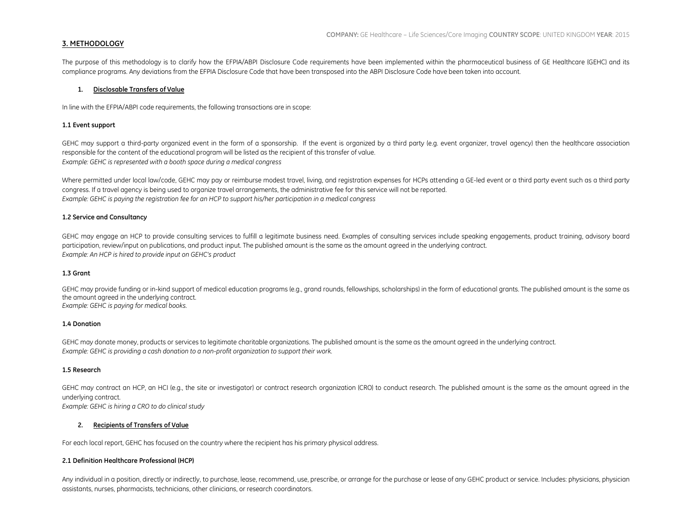#### **3. METHODOLOGY**

The purpose of this methodology is to clarify how the EFPIA/ABPI Disclosure Code requirements have been implemented within the pharmaceutical business of GE Healthcare (GEHC) and its compliance programs. Any deviations from the EFPIA Disclosure Code that have been transposed into the ABPI Disclosure Code have been taken into account.

#### **1. Disclosable Transfers of Value**

In line with the EFPIA/ABPI code requirements, the following transactions are in scope:

#### **1.1 Event support**

GEHC may support a third-party organized event in the form of a sponsorship. If the event is organized by a third party (e.g. event organizer, travel agency) then the healthcare association responsible for the content of the educational program will be listed as the recipient of this transfer of value. *Example: GEHC is represented with a booth space during a medical congress*

Where permitted under local law/code, GEHC may pay or reimburse modest travel, living, and registration expenses for HCPs attending a GE-led event or a third party event such as a third party congress. If a travel agency is being used to organize travel arrangements, the administrative fee for this service will not be reported. *Example: GEHC is paying the registration fee for an HCP to support his/her participation in a medical congress*

#### **1.2 Service and Consultancy**

GEHC may engage an HCP to provide consulting services to fulfill a legitimate business need. Examples of consulting services include speaking engagements, product training, advisory board participation, review/input on publications, and product input. The published amount is the same as the amount agreed in the underlying contract. *Example: An HCP is hired to provide input on GEHC's product*

#### **1.3 Grant**

GEHC may provide funding or in-kind support of medical education programs (e.g., grand rounds, fellowships, scholarships) in the form of educational grants. The published amount is the same as the amount agreed in the underlying contract. *Example: GEHC is paying for medical books.*

#### **1.4 Donation**

GEHC may donate money, products or services to legitimate charitable organizations. The published amount is the same as the amount agreed in the underlying contract. *Example: GEHC is providing a cash donation to a non-profit organization to support their work.*

#### **1.5 Research**

GEHC may contract an HCP, an HCI (e.g., the site or investigator) or contract research organization (CRO) to conduct research. The published amount is the same as the amount agreed in the underlying contract. *Example: GEHC is hiring a CRO to do clinical study*

#### **2. Recipients of Transfers of Value**

For each local report, GEHC has focused on the country where the recipient has his primary physical address.

#### **2.1 Definition Healthcare Professional (HCP)**

Any individual in a position, directly or indirectly, to purchase, lease, recommend, use, prescribe, or arrange for the purchase or lease of any GEHC product or service. Includes: physicians, physician assistants, nurses, pharmacists, technicians, other clinicians, or research coordinators.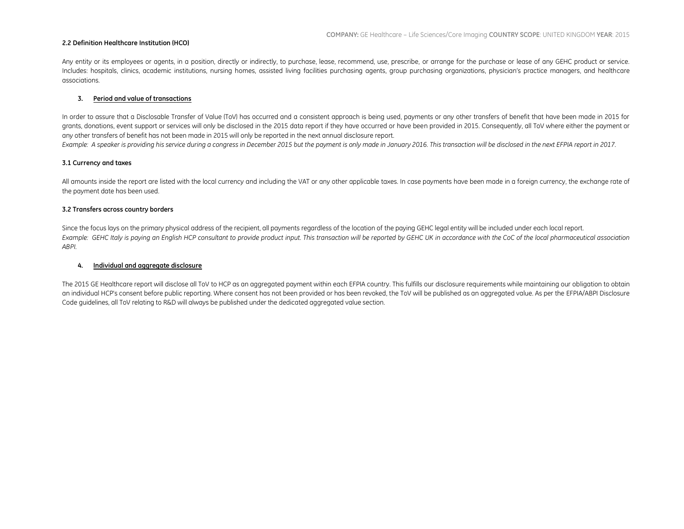#### **2.2 Definition Healthcare Institution (HCO)**

Any entity or its employees or agents, in a position, directly or indirectly, to purchase, lease, recommend, use, prescribe, or arrange for the purchase or lease of any GEHC product or service. Includes: hospitals, clinics, academic institutions, nursing homes, assisted living facilities purchasing agents, group purchasing organizations, physician's practice managers, and healthcare associations.

#### **3. Period and value of transactions**

In order to assure that a Disclosable Transfer of Value (ToV) has occurred and a consistent approach is being used, payments or any other transfers of benefit that have been made in 2015 for grants, donations, event support or services will only be disclosed in the 2015 data report if they have occurred or have been provided in 2015. Consequently, all ToV where either the payment or any other transfers of benefit has not been made in 2015 will only be reported in the next annual disclosure report.

*Example: A speaker is providing his service during a congress in December 2015 but the payment is only made in January 2016. This transaction will be disclosed in the next EFPIA report in 2017.*

#### **3.1 Currency and taxes**

All amounts inside the report are listed with the local currency and including the VAT or any other applicable taxes. In case payments have been made in a foreign currency, the exchange rate of the payment date has been used.

#### **3.2 Transfers across country borders**

Since the focus lays on the primary physical address of the recipient, all payments regardless of the location of the paying GEHC legal entity will be included under each local report. Example: GEHC Italy is paying an English HCP consultant to provide product input. This transaction will be reported by GEHC UK in accordance with the CoC of the local pharmaceutical association *ABPI.* 

#### **4. Individual and aggregate disclosure**

The 2015 GE Healthcare report will disclose all ToV to HCP as an aggregated payment within each EFPIA country. This fulfills our disclosure requirements while maintaining our obligation to obtain an individual HCP's consent before public reporting. Where consent has not been provided or has been revoked, the ToV will be published as an aggregated value. As per the EFPIA/ABPI Disclosure Code guidelines, all ToV relating to R&D will always be published under the dedicated aggregated value section.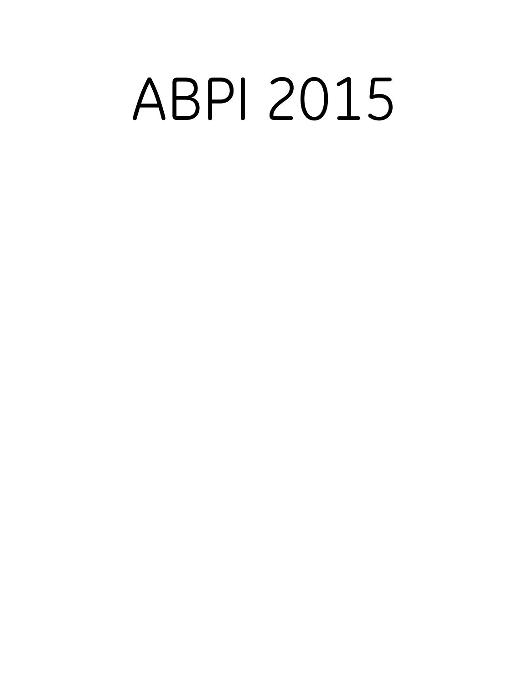# ABPI 2015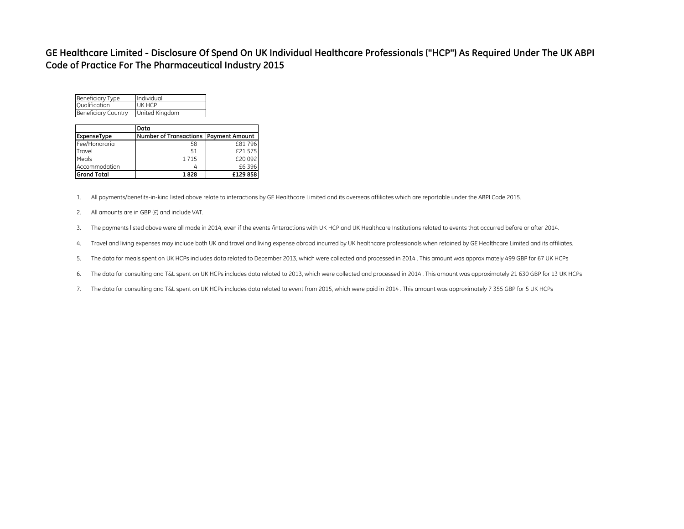### **GE Healthcare Limited - Disclosure Of Spend On UK Individual Healthcare Professionals ("HCP") As Required Under The UK ABPI Code of Practice For The Pharmaceutical Industry 2015**

| <b>Beneficiary Type</b>    | Individual     |
|----------------------------|----------------|
| <b>Qualification</b>       | UK HCP         |
| <b>Beneficiary Country</b> | United Kingdom |

|                    | Data                                           |         |
|--------------------|------------------------------------------------|---------|
| ExpenseType        | <b>Number of Transactions   Payment Amount</b> |         |
| Fee/Honoraria      | 58                                             | £81796  |
| Travel             | 51                                             | £21 575 |
| Meals              | 1715                                           | £20 092 |
| Accommodation      |                                                | £6396   |
| <b>Grand Total</b> | 1828                                           | £129858 |

1. All payments/benefits-in-kind listed above relate to interactions by GE Healthcare Limited and its overseas affiliates which are reportable under the ABPI Code 2015.

- 2. All amounts are in GBP (£) and include VAT.
- 3. The payments listed above were all made in 2014, even if the events /interactions with UK HCP and UK Healthcare Institutions related to events that occurred before or after 2014.
- 4. Travel and living expenses may include both UK and travel and living expense abroad incurred by UK healthcare professionals when retained by GE Healthcare Limited and its affiliates.
- 5. The data for meals spent on UK HCPs includes data related to December 2013, which were collected and processed in 2014 . This amount was approximately 499 GBP for 67 UK HCPs
- 6. The data for consulting and T&L spent on UK HCPs includes data related to 2013, which were collected and processed in 2014 . This amount was approximately 21 630 GBP for 13 UK HCPs
- 7. The data for consulting and T&L spent on UK HCPs includes data related to event from 2015, which were paid in 2014 . This amount was approximately 7 355 GBP for 5 UK HCPs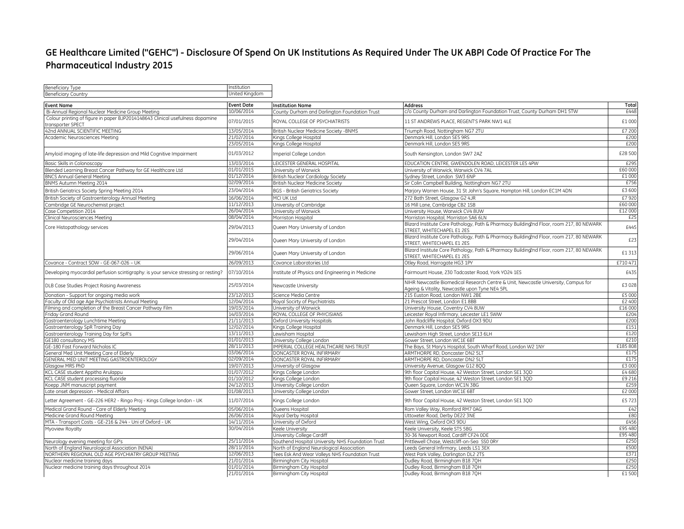## **GE Healthcare Limited ("GEHC") - Disclosure Of Spend On UK Institutions As Required Under The UK ABPI Code Of Practice For The Pharmaceutical Industry 2015**

| <b>Beneficiary Type</b>                                                                            | Institution              |                                                      |                                                                                                                                      |                  |
|----------------------------------------------------------------------------------------------------|--------------------------|------------------------------------------------------|--------------------------------------------------------------------------------------------------------------------------------------|------------------|
| <b>Beneficiary Country</b>                                                                         | United Kingdom           |                                                      |                                                                                                                                      |                  |
| <b>Event Name</b>                                                                                  | <b>Event Date</b>        | <b>Institution Name</b>                              | Address                                                                                                                              | Total            |
| Bi-Annual Regional Nuclear Medicine Group Meeting                                                  | 10/06/2014               | County Durham and Darlington Foundation Trust        | c/o County Durham and Darlington Foundation Trust, County Durham DH1 5TW                                                             | £448             |
| Colour printing of figure in paper BJP2014148643 Clinical usefulness dopamine<br>transporter SPECT | 07/01/2015               | ROYAL COLLEGE OF PSYCHIATRISTS                       | 11 ST ANDREWS PLACE, REGENT'S PARK NW1 4LE                                                                                           | £1 000           |
| 42nd ANNUAL SCIENTIFIC MEETING                                                                     | 13/05/2014               | British Nuclear Medicine Society -BNMS               | Triumph Road, Nottingham NG7 2TU                                                                                                     | £7 200           |
| Academic Neurosciences Meeting                                                                     | 21/02/2014               | Kings College Hospital                               | Denmark Hill, London SE5 9RS                                                                                                         | £200             |
|                                                                                                    | 23/05/2014               | Kings College Hospital                               | Denmark Hill, London SE5 9RS                                                                                                         | £200             |
| Amyloid imaging of late-life depression and Mild Cognitive Impairment                              | 01/03/2012               | Imperial College London                              | South Kensington, London SW7 2AZ                                                                                                     | £28 500          |
| Basic Skills in Colonoscopy                                                                        | 13/03/2014               | LEICESTER GENERAL HOSPITAL                           | EDUCATION CENTRE, GWENDOLEN ROAD, LEICESTER LE5 4PW                                                                                  | £295             |
| Blended Learning Breast Cancer Pathway for GE Healthcare Ltd                                       | 01/01/2015               | University of Warwick                                | University of Warwick, Warwick CV4 7AL                                                                                               | £60 000          |
| <b>BNCS Annual General Meeting</b>                                                                 | 01/12/2014               | British Nuclear Cardiology Society                   | Sydney Street, London SW3 6NP                                                                                                        | £1 000           |
| BNMS Autumn Meeting 2014                                                                           | 02/09/2014               | British Nuclear Medicine Society                     | Sir Colin Campbell Building, Nottingham NG7 2TU                                                                                      | £756             |
| British Geriatrics Society Spring Meeting 2014                                                     | 23/04/2014               | <b>BGS - British Geriatrics Society</b>              | Marjory Warren House, 31 St John's Square, Hampton Hill, London EC1M 4DN                                                             | £3 600           |
| British Society of Gastroenterology Annual Meeting                                                 | 16/06/2014               | MCI UK Ltd                                           | 272 Bath Street, Glasgow G2 4JR                                                                                                      | £7 920           |
| Cambridge GE Neurochemist project                                                                  | 11/12/2013               | University of Cambridge                              | 16 Mill Lane, Cambridge CB2 1SB                                                                                                      | £60 000          |
| Case Competition 2014                                                                              | 26/04/2014               | University of Warwick                                | University House, Warwick CV4 8UW                                                                                                    | £12 000          |
| Clinical Neurosciences Meeting                                                                     | 08/04/2014               | Morriston Hospital                                   | Morriston Hospital, Morriston SA6 6LN                                                                                                | £25              |
| Core Histopathology services                                                                       | 29/04/2013               | Queen Mary University of London                      | Blizard Institute Core Pathology, Path & Pharmacy Building2nd Floor, room 217, 80 NEWARK<br>STREET, WHITECHAPEL E1 2ES               | £445             |
|                                                                                                    | 29/04/2014               | Queen Mary University of London                      | Blizard Institute Core Pathology, Path & Pharmacy Building2nd Floor, room 217, 80 NEWARK<br>STREET, WHITECHAPEL E1 2ES               | £23              |
|                                                                                                    | 29/06/2014               | Queen Mary University of London                      | Blizard Institute Core Pathology, Path & Pharmacy Building2nd Floor, room 217, 80 NEWARK<br>STREET, WHITECHAPEL E1 2ES               | £1 313           |
| Covance - Contract SOW - GE-067-026 - UK                                                           | 26/09/2013               | Covance Laboratories Ltd                             | Otley Road, Harrogate HG3 1PY                                                                                                        | £710471          |
| Developing myocardial perfusion scintigraphy: is your service stressing or resting?                | 07/10/2014               | Institute of Physics and Engineering in Medicine     | Fairmount House, 230 Tadcaster Road, York YO24 1ES                                                                                   | £435             |
| DLB Case Studies Project Raising Awareness                                                         | 25/03/2014               | Newcastle University                                 | NIHR Newcastle Biomedical Research Centre & Unit, Newcastle University, Campus for<br>Ageing & Vitality, Newcastle upon Tyne NE4 5PL | £3 028           |
| Donation - Support for ongoing media work                                                          | 23/12/2013               | Science Media Centre                                 | 215 Euston Road, London NW1 2BE                                                                                                      | £5 000           |
| Faculty of Old age Age Psychiatrists Annual Meeting                                                | 12/04/2014               | Royal Socirty of Psychiatrists                       | 21 Prescot Street, London E1 8BB                                                                                                     | £2 400           |
| Filming and completion of the Breast Cancer Pathway Film                                           | 19/03/2014               | University of Warwick                                | University House, Coventry CV4 8UW                                                                                                   | £16 000          |
| Friday Grand Round                                                                                 | 14/03/2014               | ROYAL COLLEGE OF PHYCISIANS                          | Leicester Royal Infirmary, Leicester LE1 5WW                                                                                         | £204             |
| Gastroenterology Lunchtime Meeting                                                                 | 21/11/2013               | Oxford University Hospitals                          | John Radcliffe Hospital, Oxford OX3 9DU                                                                                              | £200             |
| Gastroenterology SpR Training Day                                                                  | 12/02/2014               | Kings College Hospital                               | Denmark Hill, London SE5 9RS                                                                                                         | £151             |
| Gastroenterology Training Day for SpR's                                                            | 13/11/2013               | Lewisham Hospital                                    | Lewisham High Street, London SE13 6LH                                                                                                | £120             |
| GE180 consultancy MS                                                                               | 01/01/2013               | University College London                            | Gower Street, London WC1E 6BT                                                                                                        | £210             |
| GE-180 Fast Forward Nicholas IC                                                                    | 28/11/2013<br>03/06/2014 | IMPERIAL COLLEGE HEALTHCARE NHS TRUST                | The Bays, St Mary's Hospital, South Wharf Road, London W2 1NY                                                                        | £185 808<br>£175 |
| General Med Unit Meeting Care of Elderly                                                           | 02/09/2014               | DONCASTER ROYAL INFIRMARY                            | ARMTHORPE RD. Doncaster DN2 5LT                                                                                                      | £175             |
| GENERAL MED UNIT MEETING GASTROENTEROLOGY<br>Glasgow MRS PhD                                       | 19/07/2013               | DONCASTER ROYAL INFIRMARY<br>University of Glasgow   | ARMTHORPE RD, Doncaster DN2 5LT<br>University Avenue, Glasgow G12 8QQ                                                                | £3 000           |
| KCL CASE student Appitha Arulappu                                                                  | 01/07/2012               | Kings College London                                 | 9th floor Capital House, 42 Weston Street, London SE1 3QD                                                                            | £4680            |
| KCL CASE student processing fluoride                                                               | 01/10/2012               | Kings College London                                 | 9th floor Capital House, 42 Weston Street, London SE1 3QD                                                                            | £9 216           |
| Koepp JNM manuscript payment                                                                       | 24/12/2013               | University College London                            | Queen Square, London WC1N 3BG                                                                                                        | £259             |
| Late onset depression - Medical Affairs                                                            | 01/08/2013               | University College London                            | Gower Street, London WC1E 6BT                                                                                                        | £2 000           |
| Letter Agreement - GE-226 HER2 - Ringo Proj - Kings College london - UK                            | 11/07/2014               | Kings College London                                 | 9th floor Capital House, 42 Weston Street, London SE1 3QD                                                                            | £5723            |
| Medical Grand Round - Care of Elderly Meeting                                                      | 05/06/2014               | Queens Hospital                                      | Rom Valley Way, Romford RM7 0AG                                                                                                      | £42              |
| Medicine Grand Round Meeting                                                                       | 26/06/2014               | Royal Derby Hospital                                 | Uttoxeter Road, Derby DE22 3NE                                                                                                       | £80              |
| MTA - Transport Costs - GE-216 & 244 - Uni of Oxford - UK                                          | 14/11/2014               | University of Oxford                                 | West Wing, Oxford OX3 9DU                                                                                                            | £456             |
| Myoview Royalty                                                                                    | 30/04/2014               | Keele University                                     | Keele University, Keele ST5 5BG                                                                                                      | £95 480          |
|                                                                                                    |                          | University College Cardiff                           | 30-36 Newport Road, Cardiff CF24 ODE                                                                                                 | £95 480          |
| Neurology evening meeting for GP's                                                                 | 25/11/2014               | Southend Hospital University NHS Foundation Trust    | Prittlewell Chase, Westcliff-on-Sea SS0 0RY                                                                                          | £250             |
| North of England Neurological Association (NENA)                                                   | 28/11/2014               | North of England Neurological Association            | Leeds General Infirmary, Leeds LS1 3EX                                                                                               | £500             |
| NORTHERN REGIONAL OLD AGE PSYCHIATRY GROUP MEETING                                                 | 12/06/2013               | Tees Esk And Wear Valleys NHS Foundation Trust       | West Park Valley, Darlington DL2 2TS                                                                                                 | £371             |
| Nuclear medicine training days                                                                     | 21/01/2014<br>01/01/2014 | Birmingham City Hospital                             | Dudley Road, Birmingham B18 7QH                                                                                                      | £250             |
| Nuclear medicine training days throughout 2014                                                     | 21/01/2014               | Birmingham City Hospital<br>Birmingham City Hospital | Dudley Road, Birmingham B18 7QH<br>Dudley Road, Birmingham B18 70H                                                                   | £250<br>£1 500   |
|                                                                                                    |                          |                                                      |                                                                                                                                      |                  |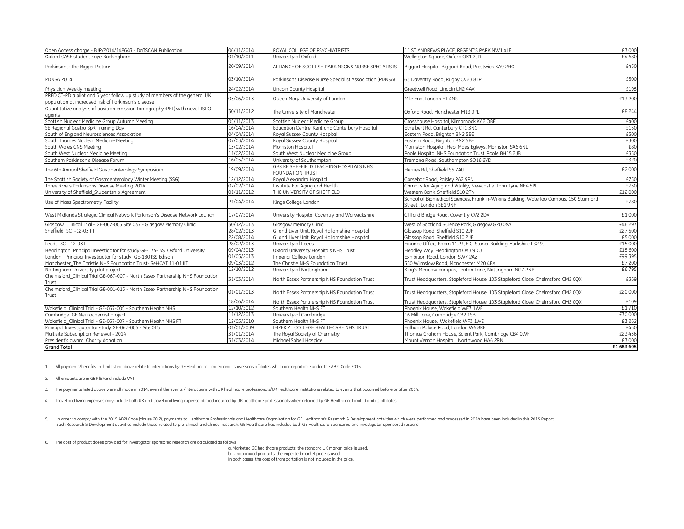| Open Access charge - BJP/2014/148643 - DaTSCAN Publication                                                                        | 06/11/2014 | ROYAL COLLEGE OF PSYCHIATRISTS                                     | 11 ST ANDREWS PLACE. REGENT'S PARK NW1 4LE                                                                       | £3 000     |
|-----------------------------------------------------------------------------------------------------------------------------------|------------|--------------------------------------------------------------------|------------------------------------------------------------------------------------------------------------------|------------|
| Oxford CASE student Faye Buckingham                                                                                               | 01/10/2011 | University of Oxford                                               | Wellington Square, Oxford OX1 2JD                                                                                | £4680      |
| Parkinsons: The Bigger Picture                                                                                                    | 20/09/2014 | ALLIANCE OF SCOTTISH PARKINSONS NURSE SPECIALISTS                  | Biggart Hospital, Biggard Road, Prestwick KA9 2HQ                                                                | £450       |
| <b>PDNSA 2014</b>                                                                                                                 | 03/10/2014 | Parkinsons Disease Nurse Specialist Association (PDNSA)            | 63 Daventry Road, Rugby CV23 8TP                                                                                 | £500       |
| Physician Weekly meeting                                                                                                          | 24/02/2014 | Lincoln County Hospital                                            | Greetwell Road, Lincoln LN2 4AX                                                                                  | £195       |
| PREDICT-PD a pilot and 3 year follow up study of members of the general UK<br>population at increased risk of Parkinson's disease | 03/06/2013 | Queen Mary University of London                                    | Mile End, London E1 4NS                                                                                          | £13 200    |
| Quantitative analysis of positron emission tomography (PET) with novel TSPO<br>agents                                             | 30/11/2012 | The University of Manchester                                       | Oxford Road, Manchester M13 9PL                                                                                  | £8 244     |
| Scottish Nuclear Medicine Group Autumn Meeting                                                                                    | 05/11/2013 | Scottish Nuclear Medicine Group                                    | Crosshouse Hospital, Kilmarnock KA2 OBE                                                                          | £400       |
| SE Regional Gastro SpR Training Day                                                                                               | 16/04/2014 | Education Centre, Kent and Canterbury Hospital                     | Ethelbert Rd, Canterbury CT1 3NG                                                                                 | £150       |
| South of England Neurosciences Association                                                                                        | 04/04/2014 | Royal Sussex County Hospital                                       | Eastern Road, Brighton BN2 5BE                                                                                   | £500       |
| South Thames Nuclear Medicine Meeting                                                                                             | 07/03/2014 | Royal Sussex County Hospital                                       | Eastern Road, Brighton BN2 5BE                                                                                   | £300       |
| South Wales CNS Meeting                                                                                                           | 13/02/2014 | Morriston Hospital                                                 | Morriston Hospital, Heol Maes Eglwys, Morriston SA6 6NL                                                          | £80        |
| South West Nuclear Medicine Meeting                                                                                               | 11/02/2014 | South West Nuclear Medicine Group                                  | Poole Hospital NHS Foundation Trust, Poole BH15 2JB                                                              | £350       |
| Southern Parkinson's Disease Forum                                                                                                | 16/05/2014 | University of Southampton                                          | Tremona Road, Southampton SO16 6YD                                                                               | £320       |
| The 6th Annual Sheffield Gastroenterology Symposium                                                                               | 19/09/2014 | GBS RE SHEFFIELD TEACHING HOSPITALS NHS<br><b>FOUNDATION TRUST</b> | Herries Rd. Sheffield S5 7AU                                                                                     | £2 000     |
| The Scottish Society of Gastroenterology Winter Meeting (SSG)                                                                     | 12/12/2014 | Royal Alexandra Hospital                                           | Corsebar Road, Paisley PA2 9PN                                                                                   | £750       |
| Three Rivers Parkinsons Disease Meeting 2014                                                                                      | 07/02/2014 | Institute For Aging and Health                                     | Campus for Aging and Vitality, Newcastle Upon Tyne NE4 5PL                                                       | £750       |
| University of Sheffield_Studentship Agreement                                                                                     | 01/11/2012 | THE UNIVERSITY OF SHEFFIELD                                        | Western Bank, Sheffield S10 2TN                                                                                  | £12 000    |
| Use of Mass Spectrometry Facility                                                                                                 | 21/04/2014 | Kings College London                                               | School of Biomedical Sciences. Franklin-Wilkins Building, Waterloo Campus. 150 Stamford<br>Street London SE1 9NH | £780       |
| West Midlands Strategic Clinical Network Parkinson's Disease Network Launch                                                       | 17/07/2014 | University Hospital Coventry and Warwickshire                      | Clifford Bridge Road, Coventry CV2 2DX                                                                           | £1 000     |
| Glasgow_Clinical Trial - GE-067-005 Site 037 - Glasgow Memory Clinic                                                              | 30/12/2013 | Glasgow Memory Clinic                                              | West of Scotland SCience Park, Glasgow G20 0XA                                                                   | £46 293    |
| Sheffield SCT-12-03 IIT                                                                                                           | 28/02/2013 | GI and Liver Unit, Royal Hallamshire Hospital                      | Glossop Road, Sheffield S10 2JF                                                                                  | £27 500    |
|                                                                                                                                   | 22/08/2014 | GI and Liver Unit, Royal Hallamshire Hospital                      | Glossop Road, Sheffield S10 2JF                                                                                  | £5 000     |
| Leeds SCT-12-03 IIT                                                                                                               | 28/02/2013 | University of Leeds                                                | Finance Office, Room 11.23, E.C. Stoner Building, Yorkshire LS2 9JT                                              | £15 000    |
| Headington Principal Investigator for study GE-135-ISS Oxford University                                                          | 09/04/2013 | Oxford University Hospitals NHS Trust                              | Headley Way, Headington OX3 9DU                                                                                  | £15 600    |
| London Principal Investigator for study_GE-180 ISS Edison                                                                         | 01/05/2013 | Imperial College London                                            | Exhibition Road, London SW7 2AZ                                                                                  | £99 395    |
| Manchester The Christie NHS Foundation Trust- SeHCAT 11-01 IIT                                                                    | 09/03/2012 | The Christie NHS Foundation Trust                                  | 550 Wilmslow Road, Manchester M20 4BX                                                                            | £7 200     |
| Nottingham University pilot project                                                                                               | 12/10/2012 | University of Nottingham                                           | King's Meadow campus, Lenton Lane, Nottingham NG7 2NR                                                            | £6795      |
| Chelmsford Clinical Trial GE-067-007 - North Essex Partnership NHS Foundation<br>Trust                                            | 31/03/2014 | North Essex Partnership NHS Foundation Trust                       | Trust Headquarters, Stapleford House, 103 Stapleford Close, Chelmsford CM2 0QX                                   | £369       |
| Chelmsford Clinical Trial GE-001-013 - North Essex Partnership NHS Foundation<br>Trust                                            | 01/01/2013 | North Essex Partnership NHS Foundation Trust                       | Trust Headquarters, Stapleford House, 103 Stapleford Close, Chelmsford CM2 0QX                                   | £20 000    |
|                                                                                                                                   | 18/06/2014 | North Essex Partnership NHS Foundation Trust                       | Trust Headquarters, Stapleford House, 103 Stapleford Close, Chelmsford CM2 0QX                                   | £109       |
| Wakefield Clinical Trial - GE-067-005 - Southern Health NHS                                                                       | 12/10/2012 | Southern Health NHS FT                                             | Phoenix House, Wakefield WF3 1WE                                                                                 | £1710      |
| Cambridge GE Neurochemist project                                                                                                 | 11/12/2013 | University of Cambridge                                            | 16 Mill Lane, Cambridge CB2 1SB                                                                                  | £30 000    |
| Wakefield Clinical Trial - GE-067-007 - Southern Health NHS FT                                                                    | 12/05/2010 | Southern Health NHS FT                                             | Phoenix House, Wakefield WF3 1WE                                                                                 | £3 262     |
| Principal Investigator for study GE-067-005 - Site 015                                                                            | 01/01/2009 | IMPERIAL COLLEGE HEALTHCARE NHS TRUST                              | Fulham Palace Road, London W6 8RF                                                                                | £450       |
| Multisite Subscription Renewal - 2014                                                                                             | 31/01/2014 | The Royal Society of Chemistry                                     | Thomas Graham House, Scient Park, Cambridge CB4 0WF                                                              | £23 436    |
| President's award: Charity donation                                                                                               | 31/03/2014 | Michael Sobell Hospice                                             | Mount Vernon Hospital, Northwood HA6 2RN                                                                         | £3 000     |
| <b>Grand Total</b>                                                                                                                |            |                                                                    |                                                                                                                  | £1 683 605 |

1. All payments/benefits-in-kind listed above relate to interactions by GE Healthcare Limited and its overseas affiliates which are reportable under the ABPI Code 2015.

2. All amounts are in GBP (£) and include VAT.

3. The payments listed above were all made in 2014, even if the events /interactions with UK healthcare professionals/UK healthcare institutions related to events that occurred before or after 2014.

4. Travel and living expenses may include both UK and travel and living expense abroad incurred by UK healthcare professionals when retained by GE Healthcare Limited and its affiliates.

5. In order to comply with the 2015 ABPI Code (clause 20.2), payments to Healthcare Professionals and Healthcare Organization for GE Healthcare's Research & Development activities which were performed and processed in 2014 Such Research & Development activities include those related to pre-clinical and clinical research. GE Healthcare has included both GE Healthcare-sponsored and investigator-sponsored research.

6. The cost of product doses provided for investigator sponsored research are calculated as follows:

a. Marketed GE healthcare products: the standard UK market price is used. b. Unapproved products: the expected market price is used. In both cases, the cost of transportation is not included in the price.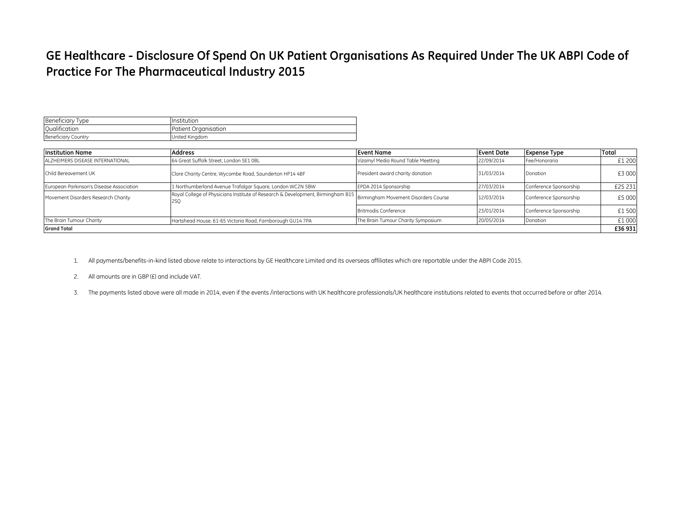# **GE Healthcare - Disclosure Of Spend On UK Patient Organisations As Required Under The UK ABPI Code of Practice For The Pharmaceutical Industry 2015**

| <b>Beneficiary Type</b>    | Institution          |
|----------------------------|----------------------|
| Qualification              | Patient Organisation |
| <b>Beneficiary Country</b> | United Kingdom       |

| Institution Name                         | <b>Address</b>                                                                                                               | Event Name                         | <b>Event Date</b> | <b>Expense Type</b>    | Total   |
|------------------------------------------|------------------------------------------------------------------------------------------------------------------------------|------------------------------------|-------------------|------------------------|---------|
| ALZHEIMERS DISEASE INTERNATIONAL         | 64 Great Suffolk Street, London SE1 OBL                                                                                      | Vizamyl Media Round Table Meetting | 22/09/2014        | Fee/Honoraria          | £1 200  |
| Child Bereavement UK                     | Clare Charity Centre, Wycombe Road, Saunderton HP14 4BF                                                                      | President award charity donation   | 31/03/2014        | Donation               | £3 000  |
| European Parkinson's Disease Association | 1 Northumberland Avenue Trafalgar Square, London WC2N 5BW                                                                    | EPDA 2014 Sponsorship              | 27/03/2014        | Conference Sponsorship | £25 231 |
| Movement Disorders Research Charity      | Royal College of Physicians Institute of Research & Development, Birmingham B15  Birmingham Movement Disorders Course<br>2SQ |                                    | 12/03/2014        | Conference Sponsorship | £5 000  |
|                                          |                                                                                                                              | Britmodis Conference               | 23/01/2014        | Conference Sponsorship | £1500   |
| The Brain Tumour Charity                 | Hartshead House, 61-65 Victoria Road, Farnborough GU14 7PA                                                                   | The Brain Tumour Charity Symposium | 20/05/2014        | Donation               | £1000   |
| <b>Grand Total</b>                       |                                                                                                                              |                                    |                   |                        | £36 931 |

- 1. All payments/benefits-in-kind listed above relate to interactions by GE Healthcare Limited and its overseas affiliates which are reportable under the ABPI Code 2015.
- 2. All amounts are in GBP (£) and include VAT.
- 3. The payments listed above were all made in 2014, even if the events /interactions with UK healthcare professionals/UK healthcare institutions related to events that occurred before or after 2014.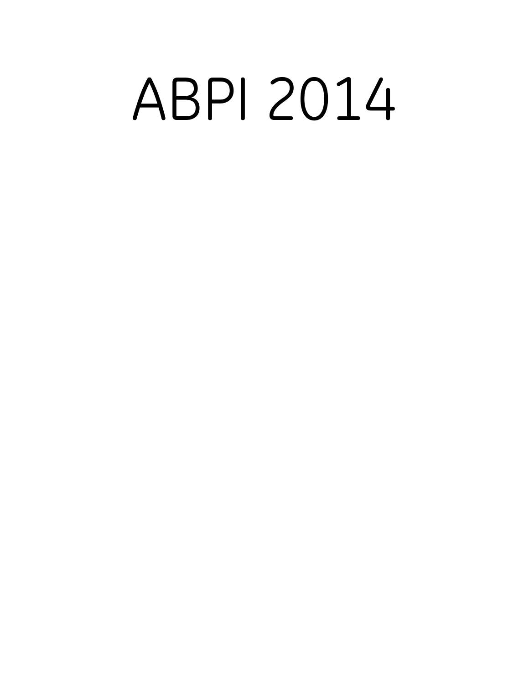# ABPI 2014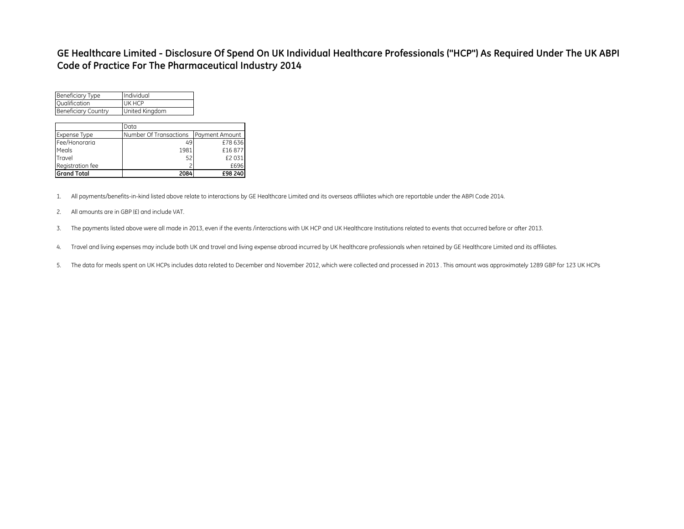### **GE Healthcare Limited - Disclosure Of Spend On UK Individual Healthcare Professionals ("HCP") As Required Under The UK ABPI Code of Practice For The Pharmaceutical Industry 2014**

| <b>Grand Total</b>         | 2084                                   | £98 240 |
|----------------------------|----------------------------------------|---------|
| Registration fee           | 2                                      | £696    |
| Travel                     | 52                                     | £2031   |
| Meals                      | 1981                                   | £16877  |
| Fee/Honoraria              | 49                                     | £78636  |
| Expense Type               | Number Of Transactions  Payment Amount |         |
|                            | Data                                   |         |
|                            |                                        |         |
| <b>Beneficiary Country</b> | United Kingdom                         |         |
| <b>Qualification</b>       | UK HCP                                 |         |
| <b>Beneficiary Type</b>    | Individual                             |         |

1. All payments/benefits-in-kind listed above relate to interactions by GE Healthcare Limited and its overseas affiliates which are reportable under the ABPI Code 2014.

- 2. All amounts are in GBP (£) and include VAT.
- 3. The payments listed above were all made in 2013, even if the events /interactions with UK HCP and UK Healthcare Institutions related to events that occurred before or after 2013.
- 4. Travel and living expenses may include both UK and travel and living expense abroad incurred by UK healthcare professionals when retained by GE Healthcare Limited and its affiliates.
- 5. The data for meals spent on UK HCPs includes data related to December and November 2012, which were collected and processed in 2013 . This amount was approximately 1289 GBP for 123 UK HCPs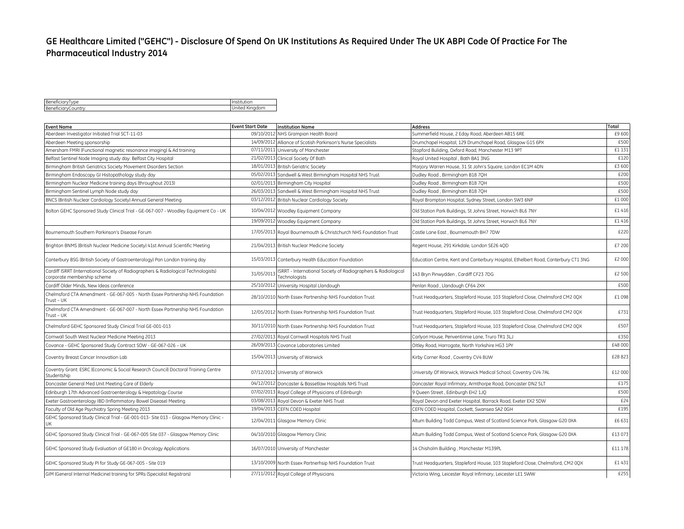## **GE Healthcare Limited ("GEHC") - Disclosure Of Spend On UK Institutions As Required Under The UK ABPI Code Of Practice For The Pharmaceutical Industry 2014**

| BeneficiaryType    | Institution             |
|--------------------|-------------------------|
| BeneficiaryCountry | 1.111<br>United Kingdom |

| <b>Event Name</b>                                                                                                  | <b>Event Start Date</b><br><b>Institution Name</b>                                          | <b>Address</b>                                                                     | Total   |
|--------------------------------------------------------------------------------------------------------------------|---------------------------------------------------------------------------------------------|------------------------------------------------------------------------------------|---------|
| Aberdeen Investigator Initiated Trial SCT-11-03                                                                    | 09/10/2012 NHS Grampian Health Board                                                        | Summerfield House, 2 Eday Road, Aberdeen AB15 6RE                                  | £9 600  |
| Aberdeen Meeting sponsorship                                                                                       | 14/09/2012 Alliance of Scotish Parkinson's Nurse Specialists                                | Drumchapel Hospital, 129 Drumchapel Road, Glasgow G15 6PX                          | £500    |
| Amersham FMRI (Functional magnetic resonance imaging) & Ad training                                                | 07/11/2011 University of Manchester                                                         | Stopford Buliding, Oxford Road, Manchester M13 9PT                                 | £1 131  |
| Belfast Sentinel Node Imaging study day: Belfast City Hospital                                                     | 21/02/2013 Clinical Society Of Bath                                                         | Royal United Hospital, Bath BA1 3NG                                                | £120    |
| Birmingham British Geriatrics Society Movement Disorders Section                                                   | 18/01/2013 British Geriatric Society                                                        | Marjory Warren House, 31 St John's Square, London EC1M 4DN                         | £3 600  |
| Birmingham Endoscopy GI Histopathology study day                                                                   | 05/02/2013 Sandwell & West Birmingham Hospital NHS Trust                                    | Dudley Road, Birmingham B18 7QH                                                    | £200    |
| Birmingham Nuclear Medicine training days (throughout 2013)                                                        | 02/01/2013 Birmingham City Hospital                                                         | Dudley Road, Birmingham B18 7QH                                                    | £500    |
| Birmingham Sentinel Lymph Node study day                                                                           | 26/03/2013 Sandwell & West Birmingham Hospital NHS Trust                                    | Dudley Road, Birmingham B18 7QH                                                    | £500    |
| BNCS (British Nuclear Cardiology Society) Annual General Meeting                                                   | 03/12/2012 British Nuclear Cardiology Society                                               | Royal Brompton Hospital, Sydney Street, London SW3 6NP                             | £1 000  |
| Bolton GEHC Sponsored Study Clinical Trial - GE-067-007 - Woodley Equipment Co - UK                                | 10/04/2012 Woodley Equipment Company                                                        | Old Station Park Buildings, St Johns Street, Horwich BL6 7NY                       | £1416   |
|                                                                                                                    | 19/09/2012 Woodley Equipment Company                                                        | Old Station Park Buildings, St Johns Street, Horwich BL6 7NY                       | £1416   |
| Bournemouth Southern Parkinson's Disease Forum                                                                     | 17/05/2013 Royal Bournemouth & Christchurch NHS Foundation Trust                            | Castle Lane East, Bournemouth BH7 7DW                                              | £220    |
| Brighton BNMS (British Nuclear Medicine Society) 41st Annual Scientific Meeting                                    | 21/04/2013 British Nuclear Medicine Society                                                 | Regent House, 291 Kirkdale, London SE26 4QD                                        | £7 200  |
| Canterbury BSG (British Society of Gastroenterology) Pan London training day                                       | 15/03/2013 Canterbury Health Education Foundation                                           | Education Centre, Kent and Canterbury Hospital, Ethelbert Road, Canterbury CT1 3NG | £2 000  |
| Cardiff ISRRT (International Society of Radiographers & Radiological Technologists)<br>corporate membership scheme | ISRRT - International Society of Radiographers & Radiological<br>31/05/201<br>Technologists | 143 Bryn Pinwydden, Cardiff CF23 7DG                                               | £2 500  |
| Cardiff Older Minds, New Ideas conference                                                                          | 25/10/2012 University Hospital Llandough                                                    | Penlan Road, Llandough CF64 2XX                                                    | £500    |
| Chelmsford CTA Amendment - GE-067-005 - North Essex Partnership NHS Foundation<br>Trust – UK                       | 28/10/2010 North Essex Partnership NHS Foundation Trust                                     | Trust Headquarters, Stapleford House, 103 Stapleford Close, Chelmsford CM2 0QX     | £1098   |
| Chelmsford CTA Amendment - GE-067-007 - North Essex Partnership NHS Foundation<br>Trust - UK                       | 12/05/2012 North Essex Partnership NHS Foundation Trust                                     | Trust Headquarters, Stapleford House, 103 Stapleford Close, Chelmsford CM2 0QX     | £731    |
| Chelmsford GEHC Sponsored Study Clinical Trial GE-001-013                                                          | 30/11/2010 North Essex Partnership NHS Foundation Trust                                     | Trust Headquarters, Stapleford House, 103 Stapleford Close, Chelmsford CM2 0QX     | £507    |
| Cornwall South West Nuclear Medicine Meeting 2013                                                                  | 27/02/2013 Royal Cornwall Hospitals NHS Trust                                               | Carlyon House, Penventinnie Lane, Truro TR1 3LJ                                    | £350    |
| Covance - GEHC Sponsored Study Contract SOW - GE-067-026 - UK                                                      | 26/09/2013 Covance Laboratories Limited                                                     | Oltley Road, Harrogate, North Yorkshire HG3 1PY                                    | £48 000 |
| Coventry Breast Cancer Innovation Lab                                                                              | 15/04/2013 University of Warwick                                                            | Kirby Corner Road, Coventry CV4 8UW                                                | £28823  |
| Coventry Grant: ESRC (Economic & Social Research Council) Doctoral Training Centre<br>Studentship                  | 07/12/2012 University of Warwick                                                            | University Of Warwick, Warwick Medical School, Coventry CV4 7AL                    | £12 000 |
| Doncaster General Med Unit Meeting Care of Elderly                                                                 | 04/12/2012 Doncaster & Bassetlaw Hospitals NHS Trust                                        | Doncaster Royal Infirmary, Armthorpe Road, Doncaster DN2 5LT                       | £175    |
| Edinburgh 17th Advanced Gastroenterology & Hepatology Course                                                       | 07/02/2013 Royal College of Physicians of Edinburgh                                         | 9 Queen Street, Edinburgh EH2 1JQ                                                  | £500    |
| Exeter Gastroenterology IBD (Inflammatory Bowel Disease) Meeting                                                   | 03/08/2013 Royal Devon & Exeter NHS Trust                                                   | Royal Devon and Exeter Hospital, Barrack Road, Exeter EX2 5DW                      | £24     |
| Faculty of Old Age Psychiatry Spring Meeting 2013                                                                  | 19/04/2013 CEFN COED Hospital                                                               | CEFN COED Hospital, Cockett, Swansea SA2 0GH                                       | £195    |
| GEHC Sponsored Study Clinical Trial - GE-001-013- Site 013 - Glasgow Memory Clinic -<br>UK                         | 12/04/2011 Glasgow Memory Clinic                                                            | Altum Building Todd Campus, West of Scotland Science Park, Glasgow G20 0XA         | £6 631  |
| GEHC Sponsored Study Clinical Trial - GE-067-005 Site 037 - Glasgow Memory Clinic                                  | 04/10/2010 Glasgow Memory Clinic                                                            | Altum Building Todd Campus, West of Scotland Science Park, Glasgow G20 0XA         | £13 073 |
| GEHC Sponsored Study Evaluation of GE180 in Oncology Applications                                                  | 16/07/2010 University of Manchester                                                         | 14 Chisholm Building, Manchester M139PL                                            | £11 178 |
| GEHC Sponsored Study PI for Study GE-067-005 - Site 019                                                            | 13/10/2009 North Essex Partnerhsip NHS Foundation Trust                                     | Trust Headquarters, Stapleford House, 103 Stapleford Close, Chelmsford, CM2 0QX    | £1431   |
| GIM (General Internal Medicine) training for SPRs (Specialist Registrars)                                          | 27/11/2012 Royal College of Physicians                                                      | Victoria Wing, Leicester Royal Infirmary, Leicester LE1 5WW                        | £255    |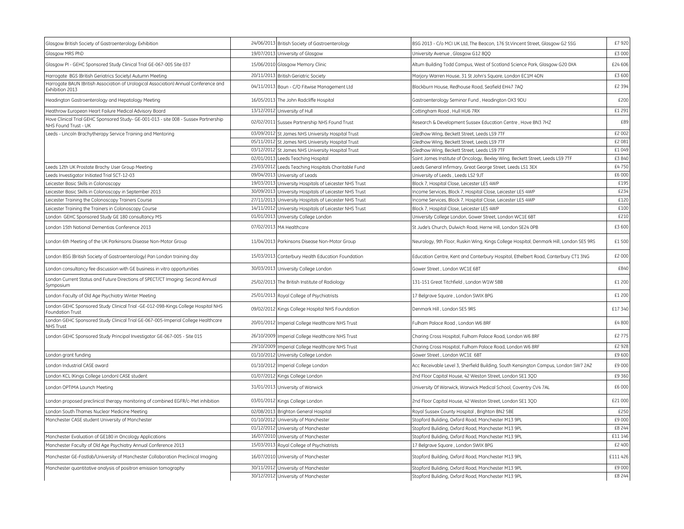| Glasgow British Society of Gastroenterology Exhibition                                                       | 24/06/2013 British Society of Gastroenterology         | BSG 2013 - C/o MCI UK Ltd, The Beacon, 176 St.Vincent Street, Glasgow G2 5SG            | £7 920   |
|--------------------------------------------------------------------------------------------------------------|--------------------------------------------------------|-----------------------------------------------------------------------------------------|----------|
| Glasgow MRS PhD                                                                                              | 19/07/2013 University of Glasgow                       | University Avenue, Glasgow G12 8QQ                                                      | £3 000   |
| Glasgow PI - GEHC Sponsored Study Clinical Trial GE-067-005 Site 037                                         | 15/06/2010 Glasgow Memory Clinic                       | Altum Building Todd Campus, West of Scotland Science Park, Glasgow G20 0XA              | £24 606  |
| Harrogate BGS (British Geriatrics Society) Autumn Meeting                                                    | 20/11/2013 British Geriatric Society                   | Marjory Warren House, 31 St John's Square, London EC1M 4DN                              | £3 600   |
| Harrogate BAUN (British Association of Urological Association) Annual Conference and<br>Exhibition 2013      | 04/11/2013 Baun - C/O Fitwise Management Ltd           | Blackburn House, Redhouse Road, Seafield EH47 7AQ                                       | £2 394   |
| Headington Gastroenterology and Hepatology Meeting                                                           | 16/05/2013 The John Radcliffe Hospital                 | Gastroenterology Seminar Fund, Headington OX3 9DU                                       | £200     |
| Heathrow European Heart Failure Medical Advisory Board                                                       | 13/12/2012 University of Hull                          | Cottingham Road, Hull HU6 7RX                                                           | £1 291   |
| Hove Clinical Trial GEHC Sponsored Study- GE-001-013 - site 008 - Sussex Partnership<br>NHS Found Trust - UK | 02/02/2011 Sussex Partnership NHS Found Trust          | Research & Development Sussex Education Centre, Hove BN3 7HZ                            | £89      |
| Leeds - Lincoln Brachytherapy Service Training and Mentoring                                                 | 03/09/2012 St James NHS University Hospital Trust      | Gledhow Wing, Beckett Street, Leeds LS9 7TF                                             | £2 002   |
|                                                                                                              | 05/11/2012 St James NHS University Hospital Trust      | Gledhow Wing, Beckett Street, Leeds LS9 7TF                                             | £2081    |
|                                                                                                              | 03/12/2012 St James NHS University Hospital Trust      | Gledhow Wing, Beckett Street, Leeds LS9 7TF                                             | £1049    |
|                                                                                                              | 02/01/2013 Leeds Teaching Hospital                     | Saint James Institute of Oncology, Bexley Wing, Beckett Street, Leeds LS9 7TF           | £3840    |
| Leeds 12th UK Prostate Brachy User Group Meeting                                                             | 23/03/2012 Leeds Teaching Hospitals Charitable Fund    | Leeds General Infirmary, Great George Street, Leeds LS1 3EX                             | £4750    |
| Leeds Investigator Initiated Trial SCT-12-03                                                                 | 09/04/2013<br>University of Leads                      | University of Leeds, Leeds LS2 9JT                                                      | £6 000   |
| Leicester Basic Skills in Colonoscopy                                                                        | 19/03/2013 University Hospitals of Leicester NHS Trust | Block 7, Hospital Close, Leicester LE5 4WP                                              | £195     |
| Leicester Basic Skills in Colonoscopy in September 2013                                                      | 30/09/2013 University Hospitals of Leicester NHS Trust | Income Services, Block 7, Hospital Close, Leicester LE5 4WP                             | £234     |
| Leicester Training the Colonoscopy Trainers Course                                                           | 27/11/2013 University Hospitals of Leicester NHS Trust | Income Services, Block 7, Hospital Close, Leicester LE5 4WP                             | £120     |
| Leicester Training the Trainers in Colonoscopy Course                                                        | 14/11/2012 University Hospitals of Leicester NHS Trust | Block 7, Hospital Close, Leicester LE5 4WP                                              | £100     |
| London GEHC Sponsored Study GE 180 consultancy MS                                                            | 01/01/2013 University College London                   | University College London, Gower Street, London WC1E 6BT                                | £210     |
| London 15th National Dementias Conference 2013                                                               | 07/02/2013 MA Healthcare                               | St Jude's Church, Dulwich Road, Herne Hill, London SE24 0PB                             | £3 600   |
| London 6th Meeting of the UK Parkinsons Disease Non-Motor Group                                              | 11/04/2013 Parkinsons Disease Non-Motor Group          | Neurology, 9th Floor, Ruskin Wing, Kings College Hospital, Denmark Hill, London SE5 9RS | £1500    |
| London BSG (British Society of Gastroenterology) Pan London training day                                     | 15/03/2013 Canterbury Health Education Foundation      | Education Centre, Kent and Canterbury Hospital, Ethelbert Road, Canterbury CT1 3NG      | £2 000   |
| London consultancy fee discussion with GE business in vitro opportunities                                    | 30/03/2013 University College London                   | Gower Street, London WC1E 6BT                                                           | £840     |
| London Current Status and Future Directions of SPECT/CT Imaging: Second Annual<br>Symposium                  | 25/02/2013 The British Institute of Radiology          | 131-151 Great Titchfield, London W1W 5BB                                                | £1 200   |
| London Faculty of Old Age Psychiatry Winter Meeting                                                          | 25/01/2013 Royal College of Psychiatrists              | 17 Belgrave Square, London SWIX 8PG                                                     | £1 200   |
| London GEHC Sponsored Study Clinical Trial -GE-012-098-Kings College Hospital NHS<br>Foundation Trust        | 09/02/2012 Kings College Hospital NHS Foundation       | Denmark Hill, London SE5 9RS                                                            | £17 340  |
| London GEHC Sponsored Study Clinical Trial GE-067-005-Imperial College Healthcare<br><b>NHS Trust</b>        | 20/01/2012 Imperial College Healthcare NHS Trust       | Fulham Palace Road, London W6 8RF                                                       | £4800    |
| London GEHC Sponsored Study Principal Investigator GE-067-005 - Site 015                                     | 26/10/2009 Imperial College Healthcare NHS Trust       | Charing Cross Hospital, Fulham Palace Road, London W6 8RF                               | £2775    |
|                                                                                                              | 29/10/2009 Imperial College Healthcare NHS Trust       | Charing Cross Hospital, Fulham Palace Road, London W6 8RF                               | £2 928   |
| London grant funding                                                                                         | 01/10/2012 University College London                   | Gower Street, London WC1E 6BT                                                           | £9600    |
| London Industrial CASE award                                                                                 | 01/10/2012 Imperial College London                     | Acc Receivable Level 3, Sherfield Building, South Kensington Campus, London SW7 2AZ     | £9 000   |
| London KCL (Kings College London) CASE student                                                               | 01/07/2012 Kings College London                        | 2nd Floor Capital House, 42 Weston Street, London SE1 3QD                               | £9 360   |
| London OPTIMA Launch Meeting                                                                                 | 31/01/2013 University of Warwick                       | University Of Warwick, Warwick Medical School, Coventry CV4 7AL                         | £6 000   |
| London proposed preclinical therapy monitoring of combined EGFR/c-Met inhibition                             | 03/01/2012 Kings College London                        | 2nd Floor Capital House, 42 Weston Street, London SE1 3QD                               | £21 000  |
| London South Thames Nuclear Medicine Meeting                                                                 | 02/08/2013 Brighton General Hospital                   | Royal Sussex County Hospital, Brighton BN2 5BE                                          | £250     |
| Manchester CASE student University of Manchester                                                             | 01/10/2012 University of Manchester                    | Stopford Buliding, Oxford Road, Manchester M13 9PL                                      | £9 000   |
|                                                                                                              | 01/12/2012 University of Manchester                    | Stopford Buliding, Oxford Road, Manchester M13 9PL                                      | £8 244   |
| Manchester Evaluation of GE180 in Oncology Applications                                                      | 16/07/2010 University of Manchester                    | Stopford Buliding, Oxford Road, Manchester M13 9PL                                      | £11 146  |
| Manchester Faculty of Old Age Psychiatry Annual Conference 2013                                              | 15/03/2013 Royal College of Psychiatrists              | 17 Belgrave Square, London SWIX 8PG                                                     | £2 400   |
| Manchester GE-Fastlab/University of Manchester Collaboration Preclinical Imaging                             | 16/07/2010 University of Manchester                    | Stopford Building, Oxford Road, Manchester M13 9PL                                      | £111 426 |
| Manchester quantitative analysis of positron emission tomography                                             | 30/11/2012 University of Manchester                    | Stopford Buliding, Oxford Road, Manchester M13 9PL                                      | £9 000   |
|                                                                                                              | 30/12/2012 University of Manchester                    | Stopford Buliding, Oxford Road, Manchester M13 9PL                                      | £8 244   |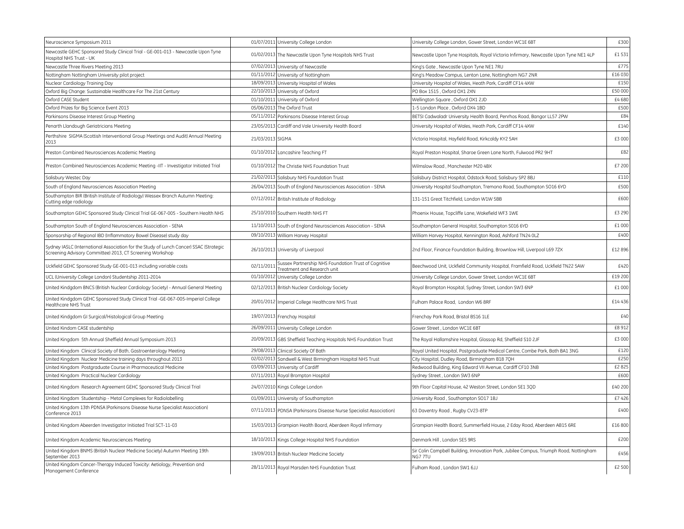| Neuroscience Symposium 2011                                                                                                                         |                  | 01/07/2011 University College London                                               | University College London, Gower Street, London WC1E 6BT                                          | £300    |
|-----------------------------------------------------------------------------------------------------------------------------------------------------|------------------|------------------------------------------------------------------------------------|---------------------------------------------------------------------------------------------------|---------|
| Newcastle GEHC Sponsored Study Clinical Trial - GE-001-013 - Newcastle Upon Tyne<br>Hospital NHS Trust - UK                                         |                  | 01/02/2013 The Newcastle Upon Tyne Hospitals NHS Trust                             | Newcastle Upon Tyne Hospitals, Royal Victoria Infirmary, Newcastle Upon Tyne NE1 4LP              | £1 531  |
| Newcastle Three Rivers Meeting 2013                                                                                                                 |                  | 07/02/2013 University of Newcastle                                                 | King's Gate, Newcastle Upon Tyne NE1 7RU                                                          | £775    |
| Nottingham Nottingham University pilot project                                                                                                      |                  | 01/11/2012 University of Nottingham                                                | King's Meadow Campus, Lenton Lane, Nottingham NG7 2NR                                             | £16 030 |
| Nuclear Cardiology Training Day                                                                                                                     |                  | 18/09/2013 University Hospital of Wales                                            | University Hospital of Wales, Heath Park, Cardiff CF14 4XW                                        | £150    |
| Oxford Big Change: Sustainable Healthcare For The 21st Century                                                                                      |                  | 22/10/2013 University of Oxford                                                    | PO Box 1515, Oxford OX1 2XN                                                                       | £50 000 |
| Oxford CASE Student                                                                                                                                 | 01/10/2011       | University of Oxford                                                               | Wellington Square, Oxford OX1 2JD                                                                 | £4680   |
| Oxford Prizes for Big Science Event 2013                                                                                                            |                  | 05/06/2013 The Oxford Trust                                                        | 1-5 London Place, Oxford OX4 1BD                                                                  | £500    |
| Parkinsons Disease Interest Group Meeting                                                                                                           |                  | 05/11/2012 Parkinsons Disease Interest Group                                       | BETSI Cadwaladr University Health Board, Penrhos Road, Bangor LL57 2PW                            | £84     |
| Penarth Llandough Geriatricians Meeting                                                                                                             |                  | 23/05/2013 Cardiff and Vale University Health Board                                | University Hospital of Wales, Heath Park, Cardiff CF14 4XW                                        | £140    |
| Perthshire SIGMA (Scottish Interventional Group Meetings and Audit) Annual Meeting<br>2013                                                          | 21/03/2013 SIGMA |                                                                                    | Victoria Hospital, Hayfield Road, Kirkcaldy KY2 5AH                                               | £3 000  |
| Preston Combined Neurosciences Academic Meeting                                                                                                     | 01/10/2012       | Lancashire Teaching FT                                                             | Royal Preston Hospital, Sharoe Green Lane North, Fulwood PR2 9HT                                  | £82     |
| Preston Combined Neurosciences Academic Meeting -IIT - Investigator Initiated Trial                                                                 |                  | 01/10/2012 The Christie NHS Foundation Trust                                       | Wilmslow Road, Manchester M20 4BX                                                                 | £7 200  |
| Salisbury Westec Day                                                                                                                                |                  | 21/02/2013 Salisbury NHS Foundation Trust                                          | Salisbury District Hospital, Odstock Road, Salisbury SP2 8BJ                                      | £110    |
| South of England Neurosciences Association Meeting                                                                                                  |                  | 26/04/2013 South of England Neurosciences Association - SENA                       | University Hospital Southampton, Tremona Road, Southampton SO16 6YD                               | £500    |
| Southampton BIR (British Institute of Radiology) Wessex Branch Autumn Meeting:<br>Cutting edge radiology                                            |                  | 07/12/2012 British Institute of Radiology                                          | 131-151 Great Titchfield, London W1W 5BB                                                          | £600    |
| Southampton GEHC Sponsored Study Clinical Trial GE-067-005 - Southern Health NHS                                                                    |                  | 25/10/2010 Southern Health NHS FT                                                  | Phoenix House, Topcliffe Lane, Wakefield WF3 1WE                                                  | £3 290  |
| Southampton South of England Neurosciences Association - SENA                                                                                       |                  | 11/10/2013 South of England Neurosciences Association - SENA                       | Southampton General Hospital, Southampton S016 6YD                                                | £1 000  |
| Sponsorship of Regional IBD (Inflammatory Bowel Disease) study day                                                                                  |                  | 09/10/2013 William Harvey Hospital                                                 | William Harvey Hospital, Kennington Road, Ashford TN24 OLZ                                        | £400    |
| Sydney IASLC (International Association for the Study of Lunch Cancer) SSAC (Strategic<br>Screening Advisory Committee) 2013, CT Screening Workshop |                  | 26/10/2013 University of Liverpool                                                 | 2nd Floor, Finance Foundation Building, Brownlow Hill, Liverpool L69 72X                          | £12 896 |
| Uckfield GEHC Sponsored Study GE-001-013 including variable costs                                                                                   | 02/11/2011       | Sussex Partnership NHS Foundation Trust of Cognitive<br>reatment and Research unit | Beechwood Unit, Uckfield Community Hospital, Framfield Road, Uckfield TN22 5AW                    | £420    |
| UCL (University College London) Studentship 2011-2014                                                                                               |                  | 01/10/2012 University College London                                               | University College London, Gower Street, London WC1E 6BT                                          | £19 200 |
| United Kindgdom BNCS (British Nuclear Cardiology Society) - Annual General Meeting                                                                  |                  | 02/12/2013 British Nuclear Cardiology Society                                      | Royal Brompton Hospital, Sydney Street, London SW3 6NP                                            | £1 000  |
| United Kindgdom GEHC Sponsored Study Clinical Trial -GE-067-005-Imperial College<br>Healthcare NHS Trust                                            |                  | 20/01/2012 Imperial College Healthcare NHS Trust                                   | Fulham Palace Road, London W6 8RF                                                                 | £14436  |
| United Kindgdom GI Surgical/Histological Group Meeting                                                                                              |                  | 19/07/2013 Frenchay Hospital                                                       | Frenchay Park Road, Bristol BS16 1LE                                                              | £40     |
| United Kindom CASE studentship                                                                                                                      |                  | 26/09/2011 University College London                                               | Gower Street, London WC1E 6BT                                                                     | £8 912  |
| United Kingdom 5th Annual Sheffield Annual Symposium 2013                                                                                           |                  | 20/09/2013 GBS Sheffield Teaching Hospitals NHS Foundation Trust                   | The Royal Hallamshire Hospital, Glossop Rd, Sheffield S10 2JF                                     | £3 000  |
| United Kingdom Clinical Society of Bath, Gastroenterology Meeting                                                                                   |                  | 29/08/2013 Clinical Society Of Bath                                                | Royal United Hospital, Postgraduate Medical Centre, Combe Park, Bath BA1 3NG                      | £120    |
| United Kingdom Nuclear Medicine training days throughout 2013                                                                                       |                  | 02/02/2013 Sandwell & West Birmingham Hospital NHS Trust                           | City Hospital, Dudley Road, Birmingham B18 7QH                                                    | £250    |
| United Kingdom Postgraduate Course in Pharmaceutical Medicine                                                                                       |                  | 03/09/2013 University of Cardiff                                                   | Redwood Building, King Edward VII Avenue, Cardiff CF10 3NB                                        | £2825   |
| United Kingdom Practical Nuclear Cardiology                                                                                                         |                  | 07/11/2013 Royal Brompton Hospital                                                 | Sydney Street, London SW3 6NP                                                                     | £600    |
| United Kingdom Research Agreement GEHC Sponsored Study Clinical Trial                                                                               |                  | 24/07/2010 Kings College London                                                    | 9th Floor Capital House, 42 Weston Street, London SE1 3QD                                         | £40 200 |
| United Kingdom Studentship - Metal Complexes for Radiolabelling                                                                                     |                  | 01/09/2011 University of Southampton                                               | University Road, Southampton SO17 1BJ                                                             | £7426   |
| United Kingdom 13th PDNSA (Parkinsons Disease Nurse Specialist Association)<br>Conference 2013                                                      |                  | 07/11/2013 PDNSA (Parkinsons Disease Nurse Specialist Association)                 | 63 Daventry Road, Rugby CV23-8TP                                                                  | £400    |
| United Kingdom Abeerden Investigator Initiated Trial SCT-11-03                                                                                      |                  | 15/03/2013 Grampian Health Board, Aberdeen Royal Infirmary                         | Grampian Health Board, Summerfield House, 2 Eday Road, Aberdeen AB15 6RE                          | £16 800 |
| United Kingdom Academic Neurosciences Meeting                                                                                                       | 18/10/2013       | Kings College Hospital NHS Foundation                                              | Denmark Hill, London SE5 9RS                                                                      | £200    |
| United Kingdom BNMS (British Nuclear Medicine Society) Autumn Meeting 19th<br>September 2013                                                        |                  | 19/09/2013 British Nuclear Medicine Society                                        | Sir Colin Campbell Building, Innovation Park, Jubilee Campus, Triumph Road, Nottingham<br>NG7 7TU | £456    |
| United Kingdom Cancer-Therapy Induced Toxicity: Aetiology, Prevention and<br>Management Conference                                                  |                  | 28/11/2013 Royal Marsden NHS Foundation Trust                                      | Fulham Road . London SW1 6JJ                                                                      | £2 500  |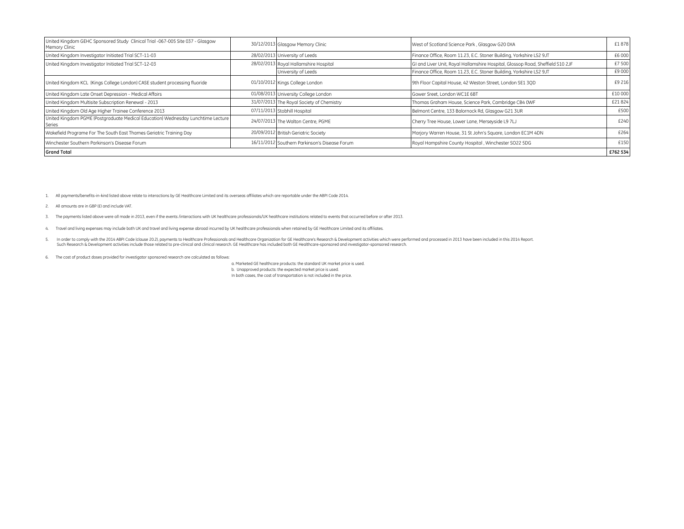| United Kingdom GEHC Sponsored Study Clinical Trial -067-005 Site 037 - Glasgow<br>Memory Clinic |                                | 30/12/2013 Glasgow Memory Clinic              | West of Scotland Science Park, Glasgow G20 0XA                                 | £1878    |
|-------------------------------------------------------------------------------------------------|--------------------------------|-----------------------------------------------|--------------------------------------------------------------------------------|----------|
| United Kingdom Investigator Initiated Trial SCT-11-03                                           | 28/02/2013 University of Leeds |                                               | Finance Office, Room 11.23, E.C. Stoner Building, Yorkshire LS2 9JT            | £6 000   |
| United Kingdom Investigator Initiated Trial SCT-12-03                                           |                                | 28/02/2013 Royal Hallamshire Hospital         | GI and Liver Unit, Royal Hallamshire Hospital, Glossop Road, Sheffield S10 2JF | £7 500   |
|                                                                                                 |                                | University of Leeds                           | Finance Office, Room 11.23, E.C. Stoner Building, Yorkshire LS2 9JT            | £9 000   |
| United Kingdom KCL (Kings College London) CASE student processing fluoride                      |                                | 01/10/2012 Kings College London               | 9th Floor Capital House, 42 Weston Street, London SE1 30D                      | £9 216   |
| United Kingdom Late Onset Depression - Medical Affairs                                          |                                | 01/08/2013 University College London          | Gower Sreet. London WC1E 6BT                                                   | £10 000  |
| United Kingdom Multisite Subscription Renewal - 2013                                            |                                | 31/07/2013 The Royal Society of Chemistry     | Thomas Graham House, Science Park, Cambridge CB4 OWF                           | £21824   |
| United Kingdom Old Age Higher Trainee Conference 2013                                           |                                | 07/11/2013 Stobhill Hospital                  | Belmont Centre, 133 Balornock Rd, Glasgow G21 3UR                              |          |
| United Kingdom PGME (Postgraduate Medical Education) Wednesday Lunchtime Lecture<br>Series      |                                | 24/07/2013 The Walton Centre, PGME            | Cherry Tree House, Lower Lane, Merseyside L9 7LJ                               | £240     |
| Wakefield Programe For The South East Thames Geriatric Training Day                             |                                | 20/09/2012 British Geriatric Society          | Marjory Warren House, 31 St John's Square, London EC1M 4DN                     | £264     |
| Winchester Southern Parkinson's Disease Forum                                                   |                                | 16/11/2012 Southern Parkinson's Disease Forum | Royal Hampshire County Hospital, Winchester SO22 5DG                           | £150     |
| <b>Grand Total</b>                                                                              |                                |                                               |                                                                                | £762 534 |

1. All payments/benefits-in-kind listed above relate to interactions by GE Healthcare Limited and its overseas affiliates which are reportable under the ABPI Code 2014.

2. All amounts are in GBP (£) and include VAT.

3. The payments listed above were all made in 2013, even if the events /interactions with UK healthcare professionals/UK healthcare institutions related to events that occurred before or after 2013.

4. Travel and living expenses may include both UK and travel and living expense abroad incurred by UK healthcare professionals when retained by GE Healthcare Limited and its affiliates.

- 5. In order to comply with the 2014 ABPI Code (clause 20.2), payments to Healthcare Professionals and Healthcare Organization for GE Healthcare's Research & Development activities which were performed and processed in 2013
- 6. The cost of product doses provided for investigator sponsored research are calculated as follows:

a. Marketed GE healthcare products: the standard UK market price is used. b. Unapproved products: the expected market price is used. In both cases, the cost of transportation is not included in the price.